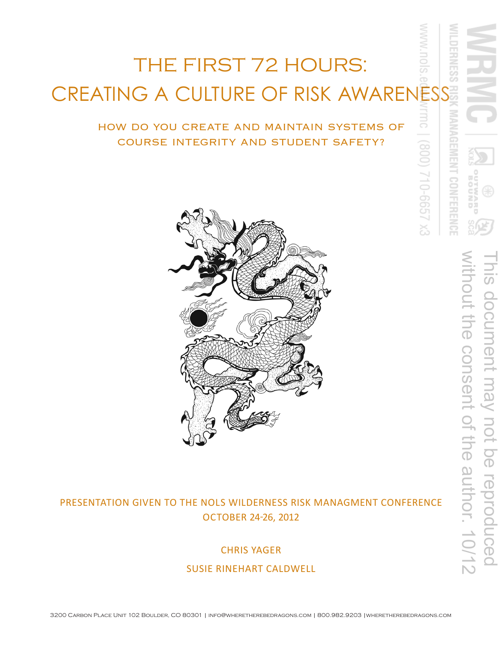# THE FIRST 72 HOURS: CREATING A CULTURE OF RISK AWARENESS

# HOW DO YOU CREATE AND MAINTAIN SYSTEMS OF COURSE INTEGRITY AND STUDENT SAFETY?



# PRESENTATION GIVEN TO THE NOLS WILDERNESS RISK MANAGMENT CONFERENCE **OCTOBER 24-26, 2012**

**CHRIS YAGER** SUSIE RINEHART CALDWELL ह

EX 2999-012 (008)

CONFERENCE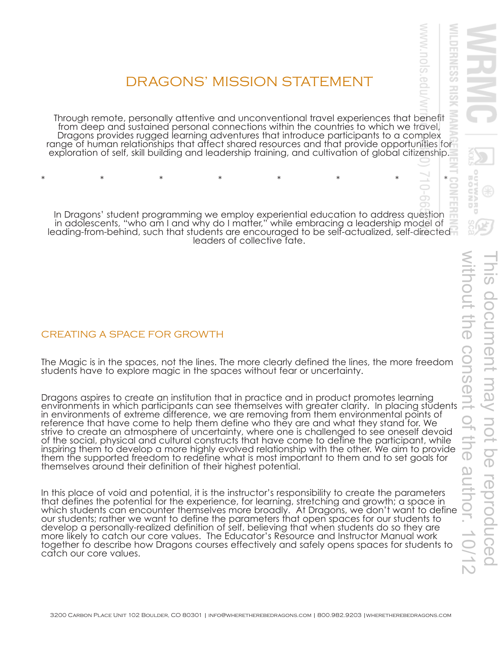# DRAGONS' MISSION STATEMENT

Through remote, personally attentive and unconventional travel experiences that benefit from deep and sustained personal connections within the countries to which we travel, Dragons provides rugged learning adventures that introduce participants to a complex range of human relationships that affect shared resources and that provide opportunities for exploration of self, skill building and leadership training, and cultivation of global citizenship.

\* \* \* \* \* \* \* \* \* \* \* \* \*

In Dragons' student programming we employ experiential education to address question in adolescents, "who am I and why do I matter," while embracing a leadership model of leading-from-behind, such that students are encouraged to be self-actualized, self-directed leaders of collective fate.

#### CREATING A SPACE FOR GROWTH

The Magic is in the spaces, not the lines. The more clearly defined the lines, the more freedom students have to explore magic in the spaces without fear or uncertainty.

Dragons aspires to create an institution that in practice and in product promotes learning environments in which participants can see themselves with greater clarity. In placing students in environments of extreme difference, we are removing from them environmental points of reference that have come to help them define who they are and what they stand for. We strive to create an atmosphere of uncertainty, where one is challenged to see oneself devoid of the social, physical and cultural constructs that have come to define the participant, while inspiring them to develop a more highly evolved relationship with the other. We aim to provide them the supported freedom to redefine what is most important to them and to set goals for themselves around their definition of their highest potential.

In this place of void and potential, it is the instructor's responsibility to create the parameters that defines the potential for the experience, for learning, stretching and growth; a space in which students can encounter themselves more broadly. At Dragons, we don't want to define our students; rather we want to define the parameters that open spaces for our students to develop a personally-realized definition of self, believing that when students do so they are more likely to catch our core values. The Educator's Resource and Instructor Manual work together to describe how Dragons courses effectively and safely opens spaces for students to catch our core values.

WWW.nols

ò

**DERNESS** 

 $\frac{1}{50}$ 

Š 령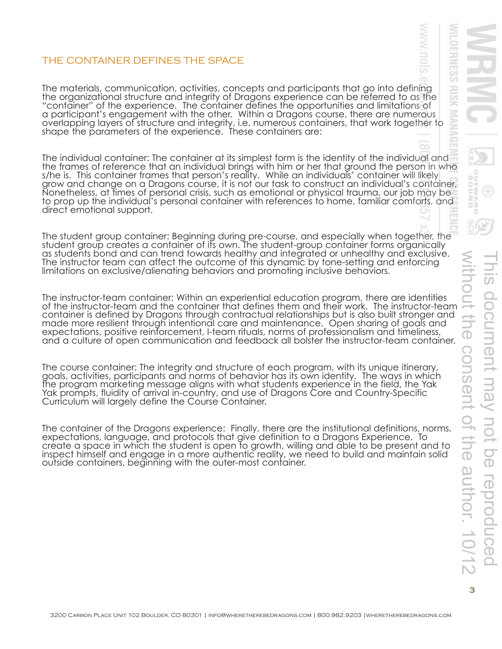### THE CONTAINER DEFINES THE SPACE

The materials, communication, activities, concepts and participants that go into defining the organizational structure and integrity of Dragons experience can be referred to as the "container" of the experience. The container defines the opportunities and limitations of a participant's engagement with the other. Within a Dragons course, there are numerous overlapping layers of structure and integrity, i.e. numerous containers, that work together to shape the parameters of the experience. These containers are:

The individual container: The container at its simplest form is the identity of the individual and  $\overline{\phantom{a}}$ the frames of reference that an individual brings with him or her that ground the person in who s/he is. This container frames that person's reality. While an individuals' container will likely grow and change on a Dragons course, it is not our task to construct an individual's container. Nonetheless, at times of personal crisis, such as emotional or physical trauma, our job may be to prop up the individual's personal container with references to home, familiar comforts, and direct emotional support.

The student group container: Beginning during pre-course, and especially when together, the student group creates a container of its own. The student-group container forms organically as students bond and can trend towards healthy and integrated or unhealthy and exclusive. The instructor team can affect the outcome of this dynamic by tone-setting and enforcing limitations on exclusive/alienating behaviors and promoting inclusive behaviors.

The instructor-team container: Within an experiential education program, there are identities of the instructor-team and the container that defines them and their work. The instructor-team container is defined by Dragons through contractual relationships but is also built stronger and made more resilient through intentional care and maintenance. Open sharing of goals and expectations, positive reinforcement, I-team rituals, norms of professionalism and timeliness, and a culture of open communication and feedback all bolster the instructor-team container.

The course container: The integrity and structure of each program, with its unique itinerary, goals, activities, participants and norms of behavior has its own identity. The ways in which the program marketing message aligns with what students experience in the field, the Yak Yak prompts, fluidity of arrival in-country, and use of Dragons Core and Country-Specific Curriculum will largely define the Course Container.

The container of the Dragons experience: Finally, there are the institutional definitions, norms, expectations, language, and protocols that give definition to a Dragons Experience. To create a space in which the student is open to growth, willing and able to be present and to inspect himself and engage in a more authentic reality, we need to build and maintain solid outside containers, beginning with the outer-most container.

**DERNESS** 

**RISK** 

ż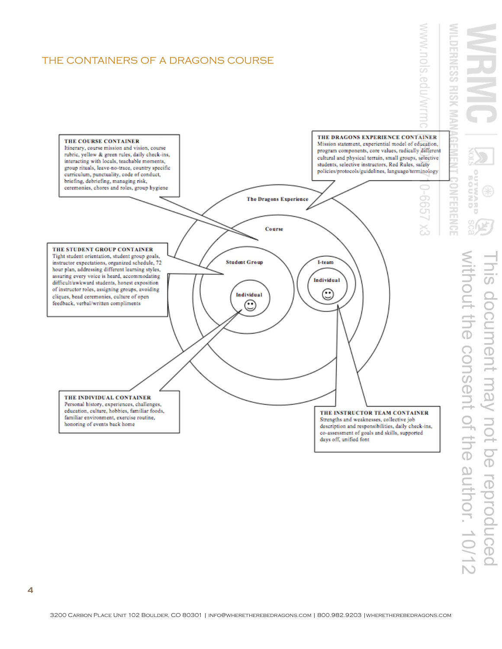



WWW.nols.edu/Wr

**DERNESS** 

**RISK**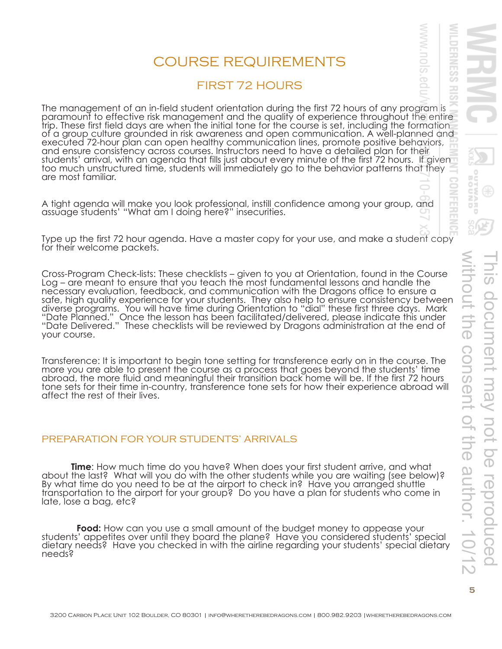# COURSE REQUIREMENTS

# FIRST 72 HOURS

The management of an in-field student orientation during the first 72 hours of any program is paramount to effective risk management and the quality of experience throughout the entire trip. These first field days are when the initial tone for the course is set, including the formation of a group culture grounded in risk awareness and open communication. A well-planned and executed 72-hour plan can open healthy communication lines, promote positive behaviors, and ensure consistency across courses. Instructors need to have a detailed plan for their students' arrival, with an agenda that fills just about every minute of the first 72 hours. If given too much unstructured time, students will immediately go to the behavior patterns that they are most familiar.

A tight agenda will make you look professional, instill confidence among your group, and assuage students' "What am I doing here?" insecurities.

Type up the first 72 hour agenda. Have a master copy for your use, and make a student copy for their welcome packets.

Cross-Program Check-lists: These checklists – given to you at Orientation, found in the Course Log – are meant to ensure that you teach the most fundamental lessons and handle the necessary evaluation, feedback, and communication with the Dragons office to ensure a safe, high quality experience for your students. They also help to ensure consistency between diverse programs. You will have time during Orientation to "dial" these first three days. Mark "Date Planned." Once the lesson has been facilitated/delivered, please indicate this under "Date Delivered." These checklists will be reviewed by Dragons administration at the end of your course.

Transference: It is important to begin tone setting for transference early on in the course. The more you are able to present the course as a process that goes beyond the students' time abroad, the more fluid and meaningful their transition back home will be. If the first 72 hours tone sets for their time in-country, transference tone sets for how their experience abroad will affect the rest of their lives.

#### PREPARATION FOR YOUR STUDENTS' ARRIVALS

**Time**: How much time do you have? When does your first student arrive, and what about the last? What will you do with the other students while you are waiting (see below)? By what time do you need to be at the airport to check in? Have you arranged shuttle transportation to the airport for your group? Do you have a plan for students who come in late, lose a bag, etc?

 **Food:** How can you use a small amount of the budget money to appease your students' appetites over until they board the plane? Have you considered students' special dietary needs? Have you checked in with the airline regarding your students' special dietary needs?

WWW.NOIS

ò

**DERNESS** 

æ

**FERENC**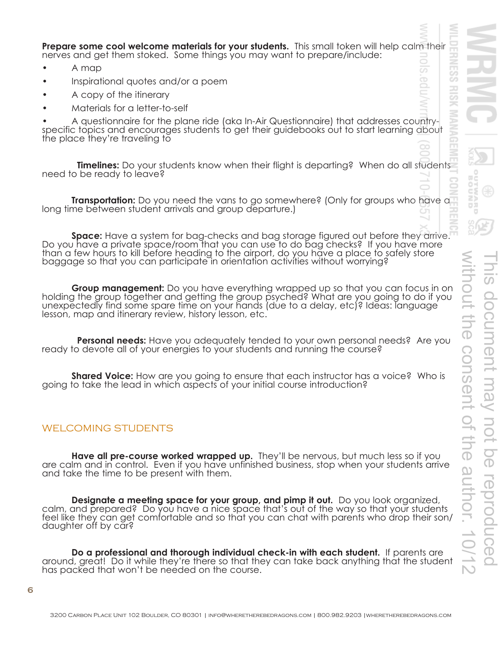**Prepare some cool welcome materials for your students.** This small token will help calm their nerves and get them stoked. Some things you may want to prepare/include:

- A map
- Inspirational quotes and/or a poem
- A copy of the itinerary
- Materials for a letter-to-self

A questionnaire for the plane ride (aka In-Air Questionnaire) that addresses countryspecific topics and encourages students to get their guidebooks out to start learning about the place they're traveling to

**Timelines:** Do your students know when their flight is departing? When do all students need to be ready to leave?

**Transportation:** Do you need the vans to go somewhere? (Only for groups who have a long time between student arrivals and group departure.)

**Space:** Have a system for bag-checks and bag storage figured out before they arrive. Do you have a private space/room that you can use to do bag checks? If you have more than a few hours to kill before heading to the airport, do you have a place to safely store baggage so that you can participate in orientation activities without worrying?

**Group management:** Do you have everything wrapped up so that you can focus in on holding the group together and getting the group psyched? What are you going to do if you unexpectedly find some spare time on your hands (due to a delay, etc)? Ideas: language lesson, map and itinerary review, history lesson, etc.

 **Personal needs:** Have you adequately tended to your own personal needs? Are you ready to devote all of your energies to your students and running the course?

**Shared Voice:** How are you going to ensure that each instructor has a voice? Who is going to take the lead in which aspects of your initial course introduction?

#### WELCOMING STUDENTS

Have all pre-course worked wrapped up. They'll be nervous, but much less so if you are calm and in control. Even if you have unfinished business, stop when your students arrive and take the time to be present with them.

**Designate a meeting space for your group, and pimp it out.** Do you look organized, calm, and prepared? Do you have a nice space that's out of the way so that your students feel like they can get comfortable and so that you can chat with parents who drop their son/ daughter off by car?

Do a professional and thorough individual check-in with each student. If parents are around, great! Do it while they're there so that they can take back anything that the student has packed that won't be needed on the course.

 $\bigcirc$ 

E.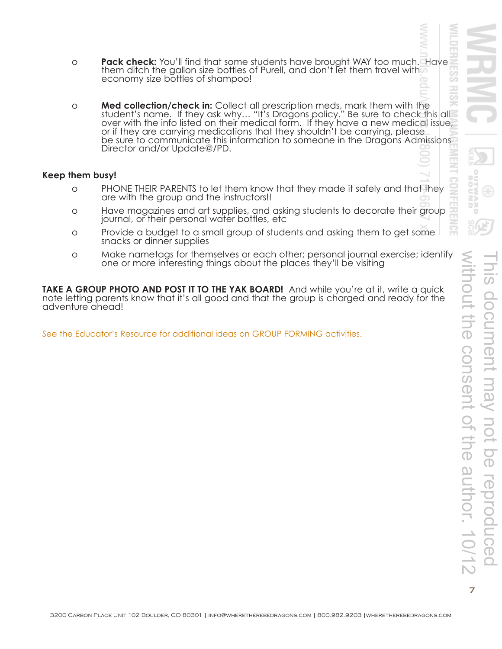- Š 맹 **ENB**
- **Pack check:** You'll find that some students have brought WAY too much. Have them ditch the gallon size bottles of Purell, and don't let them travel with a economy size bottles of shampoo!
- **Med collection/check in:** Collect all prescription meds, mark them with the student's name. If they ask why... "It's Dragons policy." Be sure to check this all over with the info listed on their medical form. If they have

#### **Keep them busy!**

- o PHONE THEIR PARENTS to let them know that they made it safely and that they are with the group and the instructors!!
- o Have magazines and art supplies, and asking students to decorate their group journal, or their personal water bottles, etc
- o Provide a budget to a small group of students and asking them to get some snacks or dinner supplies
- o Make nametags for themselves or each other; personal journal exercise; identify one or more interesting things about the places they'll be visiting

**TAKE A GROUP PHOTO AND POST IT TO THE YAK BOARD!** And while you're at it, write a quick note letting parents know that it's all good and that the group is charged and ready for the adventure ahead!

See the Educator's Resource for additional ideas on GROUP FORMING activities.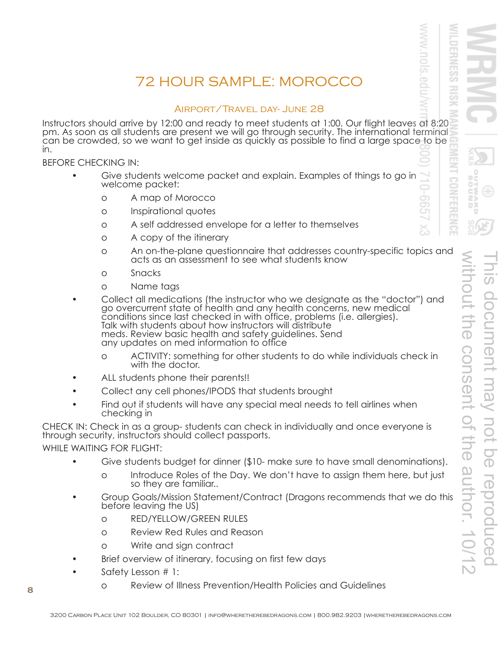# 72 HOUR SAMPLE: MOROCCO

#### AIRPORT/TRAVEL DAY- JUNE 28

Instructors should arrive by 12:00 and ready to meet students at 1:00. Our flight leaves at 8:20 pm. As soon as all students are present we will go through security. The international terminal can be crowded, so we want to get inside as quickly as possible to find a large space to be in.

BEFORE CHECKING IN:

- Give students welcome packet and explain. Examples of things to go in welcome packet:
	- o A map of Morocco
	- o Inspirational quotes
	- o A self addressed envelope for a letter to themselves
	- o A copy of the itinerary
	- o an on-the-plane questionnaire that addresses country-specific topics and acts as an assessment to see what students know
	- o Snacks
	- o Name tags
- Collect all medications (the instructor who we designate as the "doctor") and<br>go overcurrent state of health and any health concerns, new medical<br>conditions since last checked in with office, problems (i.e. allergies).<br>Tal
	- o ACTIVITY: something for other students to do while individuals check in with the doctor.
- ALL students phone their parents!!
- Collect any cell phones/IPODS that students brought
- Find out if students will have any special meal needs to tell airlines when checking in

CHECK IN: Check in as a group-students can check in individually and once everyone is through security, instructors should collect passports.

WHILE WAITING FOR FLIGHT:

- Give students budget for dinner (\$10- make sure to have small denominations).
	- o Introduce Roles of the Day. We don't have to assign them here, but just so they are familiar..
- Group Goals/Mission Statement/Contract (Dragons recommends that we do this before leaving the US)
	- o RED/YELLOW/GREEN RULES
	- o Review Red Rules and Reason
	- o Write and sign contract
- Brief overview of itinerary, focusing on first few days
- Safety Lesson # 1:
- o Review of Illness Prevention/Health Policies and Guidelines **<sup>8</sup>**

ロス

SIOU:

.<br>O

Ċη.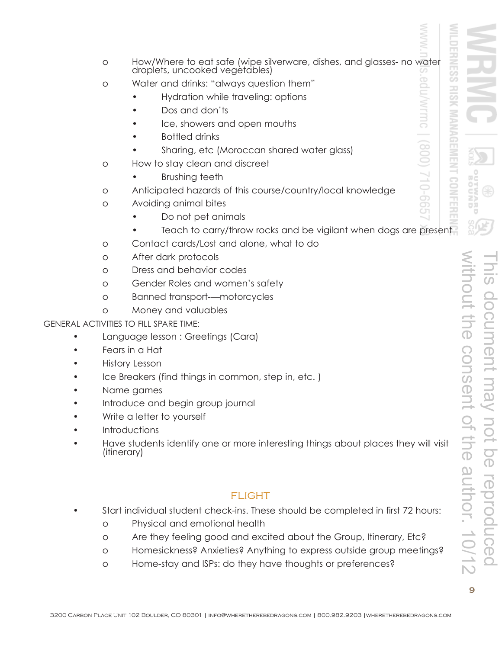| $\circ$                                             | How/Where to eat safe (wipe silverware, dishes, and glasses- no water droplets, uncooked vegetables)<br>ु |          |
|-----------------------------------------------------|-----------------------------------------------------------------------------------------------------------|----------|
| $\circ$                                             | cn<br>edulwrmc<br>Water and drinks: "always question them"                                                |          |
|                                                     | š<br>Hydration while traveling: options                                                                   |          |
|                                                     | Dos and don'ts                                                                                            |          |
|                                                     | <b>MANAG</b><br>Ice, showers and open mouths                                                              |          |
|                                                     | <b>Bottled drinks</b>                                                                                     |          |
|                                                     | $(008)$ :<br>FMENT<br>Sharing, etc (Moroccan shared water glass)                                          |          |
| $\circ$                                             | How to stay clean and discreet                                                                            |          |
|                                                     | Brushing teeth                                                                                            | WΞ       |
| $\circ$                                             | S99-01/<br>CONFER<br>Anticipated hazards of this course/country/local knowledge                           | Š        |
| $\circ$                                             | Avoiding animal bites                                                                                     | ロヌ       |
|                                                     | Do not pet animals                                                                                        | U        |
|                                                     | Teach to carry/throw rocks and be vigilant when dogs are present                                          |          |
| $\circ$                                             | Contact cards/Lost and alone, what to do                                                                  |          |
| O                                                   | After dark protocols                                                                                      |          |
| $\circ$                                             | Dress and behavior codes                                                                                  |          |
| O                                                   | Gender Roles and women's safety                                                                           | $\Omega$ |
| $\circ$                                             | ithout<br><b>Banned transport-motorcycles</b>                                                             |          |
| O                                                   | Money and valuables                                                                                       |          |
|                                                     | <b>The</b><br>GENERAL ACTIVITIES TO FILL SPARE TIME:                                                      |          |
|                                                     | Language lesson : Greetings (Cara)                                                                        |          |
|                                                     | Fears in a Hat                                                                                            |          |
|                                                     | History Lesson                                                                                            |          |
| Ice Breakers (find things in common, step in, etc.) |                                                                                                           |          |
|                                                     | <b>DSQ</b><br>Name games                                                                                  |          |
|                                                     | Introduce and begin group journal                                                                         |          |
|                                                     | Write a letter to yourself                                                                                |          |
|                                                     | Introductions                                                                                             |          |
|                                                     | the aut<br>Have students identify one or more interesting things about places they will visit             |          |
| ( <i>itinerary</i> )                                |                                                                                                           |          |
|                                                     |                                                                                                           |          |
|                                                     |                                                                                                           |          |
|                                                     | <b>FLIGHT</b>                                                                                             |          |

- Start individual student check-ins. These should be completed in first 72 hours:
	- o Physical and emotional health

- o Are they feeling good and excited about the Group, Itinerary, Etc?
- o Homesickness? Anxieties? Anything to express outside group meetings?
- o Home-stay and ISPs: do they have thoughts or preferences?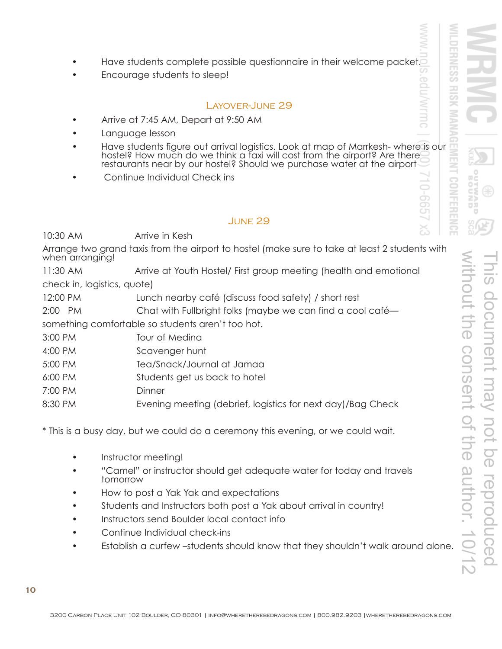- Have students complete possible questionnaire in their welcome packet.
- Encourage students to sleep!

#### LAYOVER-JUNE 29

- Arrive at 7:45 AM, Depart at 9:50 AM
- Language lesson
- Have students figure out arrival logistics. Look at map of Marrkesh-where is our hostel? How much do we think a taxi will cost from the airport? Are there restaurants near by our hostel? Should we purchase water at the air
- Continue Individual Check ins

#### JUNE 29

10:30 AM Arrive in Kesh

Arrange two grand taxis from the airport to hostel (make sure to take at least 2 students with when arranging!

11:30 AM Arrive at Youth Hostel/ First group meeting (health and emotional check in, logistics, quote)

12:00 PM Lunch nearby café (discuss food safety) / short rest

2:00 PM Chat with Fullbright folks (maybe we can find a cool café—

something comfortable so students aren't too hot.

- 3:00 PM Tour of Medina
- 4:00 PM Scavenger hunt
- 5:00 PM Tea/Snack/Journal at Jamaa
- 6:00 PM Students get us back to hotel
- 7:00 PM Dinner
- 8:30 PM Evening meeting (debrief, logistics for next day)/Bag Check

\* This is a busy day, but we could do a ceremony this evening, or we could wait.

- Instructor meeting!
- "Camel" or instructor should get adequate water for today and travels<br>tomorrow
- How to post a Yak Yak and expectations
- Students and Instructors both post a Yak about arrival in country!
- Instructors send Boulder local contact info
- Continue Individual check-ins
- Establish a curfew -students should know that they shouldn't walk around alone.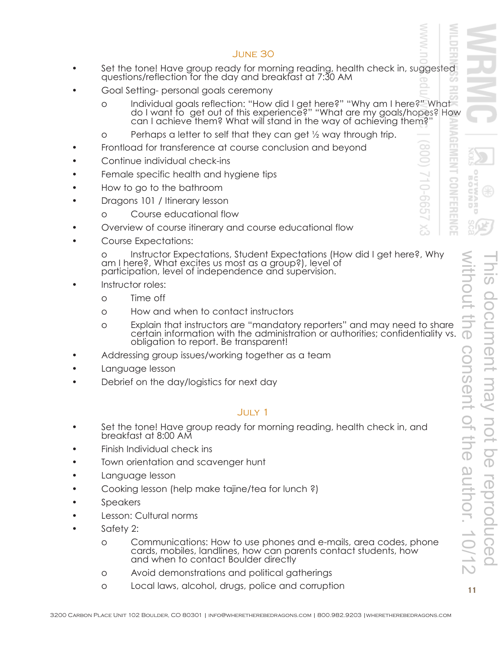#### JUNE 30

- Set the tone! Have group ready for morning reading, health check in, suggested questions/reflection for the day and breakfast at 7:30 AM
	- Goal Setting- personal goals ceremony
		- o Individual goals reflection: "How did I get here?" "Why am I here?" What do I want to get out of this experience?" "What are my goals/hopes? How can I achieve them? What will stand in the way of achieving them?"
		- o Perhaps a letter to self that they can get ½ way through trip.
	- Frontload for transference at course conclusion and beyond
	- Continue individual check-ins
	- Female specific health and hygiene tips
	- How to go to the bathroom
	- Dragons 101 / Itinerary lesson
		- o Course educational flow
	- Overview of course itinerary and course educational flow
	- Course Expectations:

o Instructor Expectations, Student Expectations (How did I get here?, Why am I here?, What excites us most as a group?), level of participation, level of independence and supervision.

- Instructor roles:
	- o Time off
	- o How and when to contact instructors
	- o Explain that instructors are "mandatory reporters" and may need to share certain information with the administration or authorities; confidentiality vs. obligation to report. Be transparent!
- Addressing group issues/working together as a team
- Language lesson
- Debrief on the day/logistics for next day

#### JULY 1

- Set the tone! Have group ready for morning reading, health check in, and breakfast at 8:00 AM
- Finish Individual check ins
- Town orientation and scavenger hunt
- Language lesson
- Cooking lesson (help make tajine/tea for lunch?)
- Speakers
- Lesson: Cultural norms
- Safety 2:
	- o Communications: How to use phones and e-mails, area codes, phone cards, mobiles, landlines, how can parents contact students, how and when to contact Boulder directly
	- o Avoid demonstrations and political gatherings
	- o Local laws, alcohol, drugs, police and corruption **<sup>11</sup>**

 $599 - 01$ 

∼ ă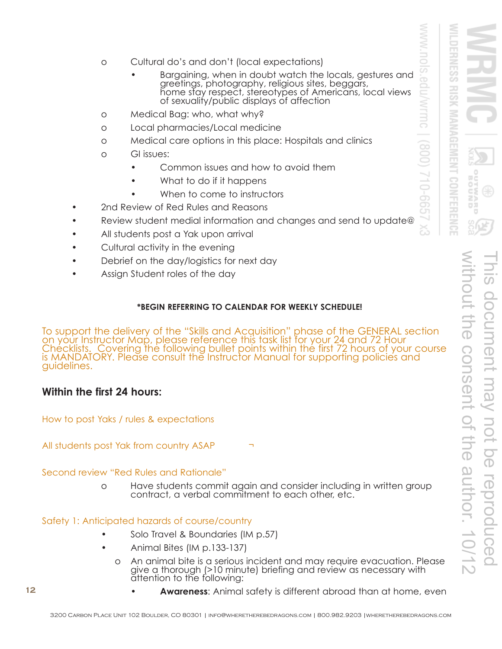- o Cultural do's and don't (local expectations)
	- Bargaining, when in doubt watch the locals, gestures and<br>greetings, photography, religious sites, beggars,<br>home stay respect, stereotypes of Americans, local views<br>of sexuality/public displays of affection
- o Medical Bag: who, what why?
- o Local pharmacies/Local medicine
- o Medical care options in this place: Hospitals and clinics
- o GI issues:
	- Common issues and how to avoid them
	- What to do if it happens
	- When to come to instructors
- 2nd Review of Red Rules and Reasons
- Review student medial information and changes and send to update@
- All students post a Yak upon arrival
- Cultural activity in the evening
- Debrief on the day/logistics for next day
- Assign Student roles of the day

#### **\*BEGIN REFERRING TO CALENDAR FOR WEEKLY SCHEDULE!**

To support the delivery of the "Skills and Acquisition" phase of the GENERAL section on your Instructor Map, please reference this task list for your 24 and 72 Hour Checklists. Covering the following bullet points within the first 72 hours of your course is MANDATORY. Please consult the Instructor Manual for supporting policies and guidelines.

## **Within the first 24 hours:**

How to post Yaks / rules & expectations

All students post Yak from country ASAP

Second review "Red Rules and Rationale"

o Have students commit again and consider including in written group contract, a verbal commitment to each other, etc.

Safety 1: Anticipated hazards of course/country

- Solo Travel & Boundaries (IM p.57)
- Animal Bites (IM p.133-137)
	- o An animal bite is a serious incident and may require evacuation. Please give a thorough (>10 minute) briefing and review as necessary with attention to the following:

**MANAGE** 

**CONFERENC** 

Ē\$ ロヌ

3

S99-01.

↘ డ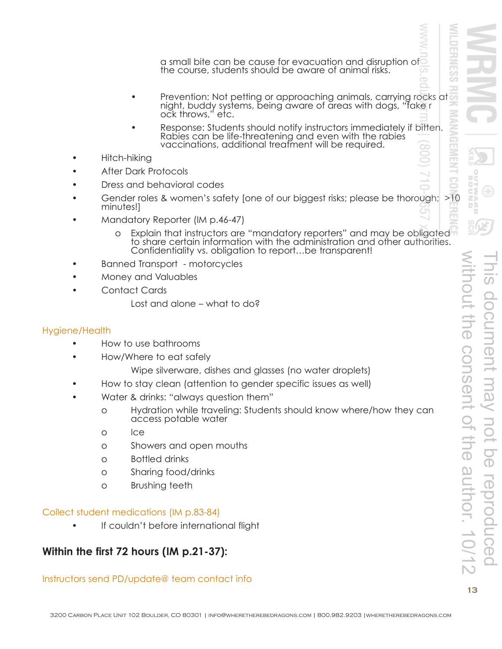a small bite can be cause for evacuation and disruption of the course, students should be aware of animal risks.

- Prevention: Not petting or approaching animals, carrying rocks at night, buddy systems, being aware of areas with dogs, "fake r ock throws," etc.
- Response: Students should notify instructors immediately if bitten.<br>Rabies can be life-threatening and even with the rabies<br>vaccinations, additional treatment will be required.
- Hitch-hiking
- After Dark Protocols
- Dress and behavioral codes
- Gender roles & women's safety [one of our biggest risks; please be thorough; >10 minutes!]
- Mandatory Reporter (IM p.46-47)
	- Explain that instructors are "mandatory reporters" and may be obligated to share certain information with the administration and other authorities.<br>Confidentiality vs. obligation to report…be transparent!
- Banned Transport motorcycles
- Money and Valuables
- Contact Cards
	- Lost and alone what to do?

#### Hygiene/Health

- How to use bathrooms
- How/Where to eat safely
	- Wipe silverware, dishes and glasses (no water droplets)
- How to stay clean (attention to gender specific issues as well)
- Water & drinks: "always question them"
	- o Hydration while traveling: Students should know where/how they can access potable water
	- o Ice
	- o Showers and open mouths
	- o Bottled drinks
	- o Sharing food/drinks
	- o Brushing teeth

#### Collect student medications (IM p.83-84)

If couldn't before international flight

## **Within the first 72 hours (IM p.21-37):**

#### Instructors send PD/update@ team contact info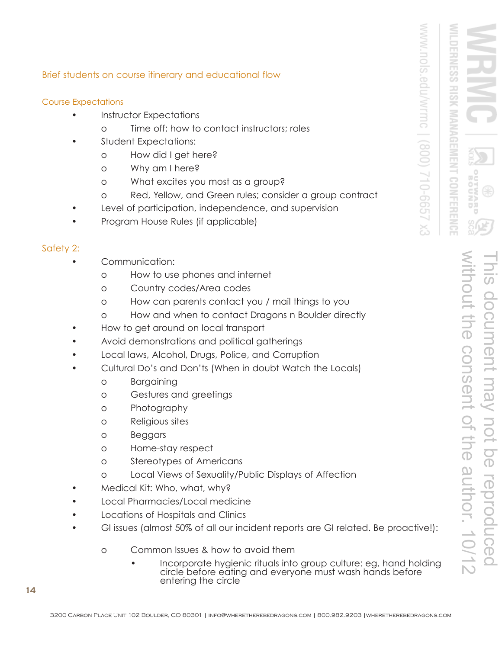**NAGE** 

#### Brief students on course itinerary and educational flow

#### Course Expectations

- Instructor Expectations
	- o Time off; how to contact instructors; roles
- Student Expectations:
	- o How did I get here?
	- o Why am I here?
	- o What excites you most as a group?
	- o Red, Yellow, and Green rules; consider a group contract
- Level of participation, independence, and supervision
- Program House Rules (if applicable)

#### Safety 2:

- Communication:
	- o How to use phones and internet
	- o Country codes/Area codes
	- o How can parents contact you / mail things to you
	- o How and when to contact Dragons n Boulder directly
- How to get around on local transport
- Avoid demonstrations and political gatherings
- Local laws, Alcohol, Drugs, Police, and Corruption
- Cultural Do's and Don'ts (When in doubt Watch the Locals)
	- o Bargaining
	- o Gestures and greetings
	- o Photography
	- o Religious sites
	- o Beggars
	- o Home-stay respect
	- o Stereotypes of Americans
	- o Local Views of Sexuality/Public Displays of Affection
- Medical Kit: Who, what, why?
- Local Pharmacies/Local medicine
- Locations of Hospitals and Clinics
- GI issues (almost 50% of all our incident reports are GI related. Be proactive!):
	- o Common Issues & how to avoid them
		- Incorporate hygienic rituals into group culture: eg, hand holding circle before eating and everyone must wash hands before entering the circle